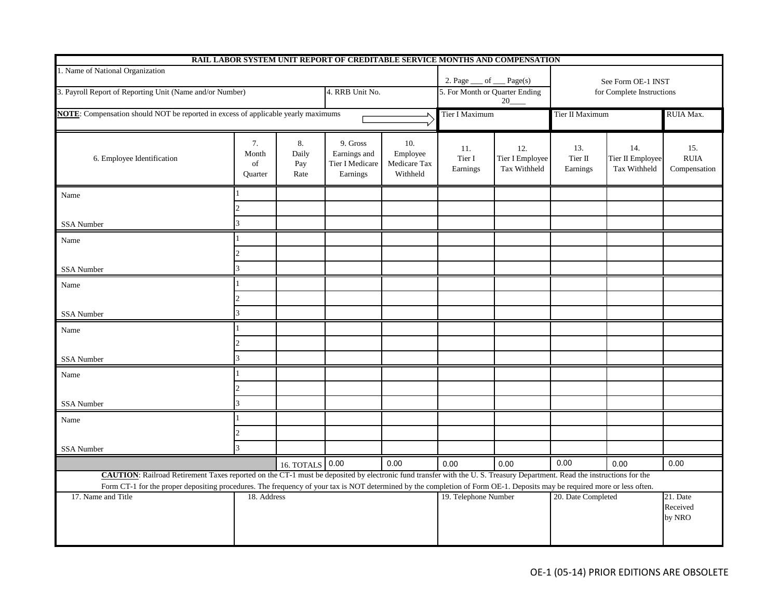|                                                                                                                                                                                                                                                                                                                                                    |                                     |                            | RAIL LABOR SYSTEM UNIT REPORT OF CREDITABLE SERVICE MONTHS AND COMPENSATION |                                             |                                      |                                        |                            |                                         |                                    |
|----------------------------------------------------------------------------------------------------------------------------------------------------------------------------------------------------------------------------------------------------------------------------------------------------------------------------------------------------|-------------------------------------|----------------------------|-----------------------------------------------------------------------------|---------------------------------------------|--------------------------------------|----------------------------------------|----------------------------|-----------------------------------------|------------------------------------|
| 1. Name of National Organization                                                                                                                                                                                                                                                                                                                   |                                     |                            |                                                                             |                                             | 2. Page<br>of $\_\_$ Page(s)         |                                        | See Form OE-1 INST         |                                         |                                    |
| 3. Payroll Report of Reporting Unit (Name and/or Number)                                                                                                                                                                                                                                                                                           |                                     |                            | 4. RRB Unit No.                                                             |                                             | 5. For Month or Quarter Ending<br>20 |                                        | for Complete Instructions  |                                         |                                    |
| NOTE: Compensation should NOT be reported in excess of applicable yearly maximums                                                                                                                                                                                                                                                                  |                                     |                            |                                                                             | Tier I Maximum                              |                                      | Tier II Maximum                        |                            | RUIA Max.                               |                                    |
| 6. Employee Identification                                                                                                                                                                                                                                                                                                                         | 7.<br>Month<br>of<br><b>Ouarter</b> | 8.<br>Daily<br>Pay<br>Rate | 9. Gross<br>Earnings and<br>Tier I Medicare<br>Earnings                     | 10.<br>Employee<br>Medicare Tax<br>Withheld | 11.<br>Tier I<br>Earnings            | 12.<br>Tier I Employee<br>Tax Withheld | 13.<br>Tier II<br>Earnings | 14.<br>Tier II Employee<br>Tax Withheld | 15.<br><b>RUIA</b><br>Compensation |
| Name                                                                                                                                                                                                                                                                                                                                               |                                     |                            |                                                                             |                                             |                                      |                                        |                            |                                         |                                    |
| <b>SSA Number</b>                                                                                                                                                                                                                                                                                                                                  | 2<br>3                              |                            |                                                                             |                                             |                                      |                                        |                            |                                         |                                    |
|                                                                                                                                                                                                                                                                                                                                                    |                                     |                            |                                                                             |                                             |                                      |                                        |                            |                                         |                                    |
| Name                                                                                                                                                                                                                                                                                                                                               | 2                                   |                            |                                                                             |                                             |                                      |                                        |                            |                                         |                                    |
| SSA Number                                                                                                                                                                                                                                                                                                                                         |                                     |                            |                                                                             |                                             |                                      |                                        |                            |                                         |                                    |
| Name                                                                                                                                                                                                                                                                                                                                               |                                     |                            |                                                                             |                                             |                                      |                                        |                            |                                         |                                    |
|                                                                                                                                                                                                                                                                                                                                                    |                                     |                            |                                                                             |                                             |                                      |                                        |                            |                                         |                                    |
| <b>SSA</b> Number                                                                                                                                                                                                                                                                                                                                  | 3                                   |                            |                                                                             |                                             |                                      |                                        |                            |                                         |                                    |
| Name                                                                                                                                                                                                                                                                                                                                               |                                     |                            |                                                                             |                                             |                                      |                                        |                            |                                         |                                    |
|                                                                                                                                                                                                                                                                                                                                                    |                                     |                            |                                                                             |                                             |                                      |                                        |                            |                                         |                                    |
| SSA Number                                                                                                                                                                                                                                                                                                                                         |                                     |                            |                                                                             |                                             |                                      |                                        |                            |                                         |                                    |
| Name                                                                                                                                                                                                                                                                                                                                               |                                     |                            |                                                                             |                                             |                                      |                                        |                            |                                         |                                    |
|                                                                                                                                                                                                                                                                                                                                                    | $\mathfrak{D}$                      |                            |                                                                             |                                             |                                      |                                        |                            |                                         |                                    |
| <b>SSA Number</b>                                                                                                                                                                                                                                                                                                                                  |                                     |                            |                                                                             |                                             |                                      |                                        |                            |                                         |                                    |
| Name                                                                                                                                                                                                                                                                                                                                               |                                     |                            |                                                                             |                                             |                                      |                                        |                            |                                         |                                    |
|                                                                                                                                                                                                                                                                                                                                                    | $\mathfrak{D}$                      |                            |                                                                             |                                             |                                      |                                        |                            |                                         |                                    |
| SSA Number                                                                                                                                                                                                                                                                                                                                         | $\mathcal{R}$                       |                            |                                                                             |                                             |                                      |                                        |                            |                                         |                                    |
|                                                                                                                                                                                                                                                                                                                                                    |                                     | 16. TOTALS 0.00            |                                                                             | 0.00                                        | 0.00                                 | 0.00                                   | 0.00                       | 0.00                                    | 0.00                               |
| CAUTION: Railroad Retirement Taxes reported on the CT-1 must be deposited by electronic fund transfer with the U.S. Treasury Department. Read the instructions for the<br>Form CT-1 for the proper depositing procedures. The frequency of your tax is NOT determined by the completion of Form OE-1. Deposits may be required more or less often. |                                     |                            |                                                                             |                                             |                                      |                                        |                            |                                         |                                    |
| 17. Name and Title                                                                                                                                                                                                                                                                                                                                 |                                     | 18. Address                |                                                                             |                                             |                                      | 19. Telephone Number                   |                            | 21. Date<br>20. Date Completed          |                                    |
|                                                                                                                                                                                                                                                                                                                                                    |                                     |                            |                                                                             |                                             |                                      |                                        |                            |                                         | Received<br>by NRO                 |